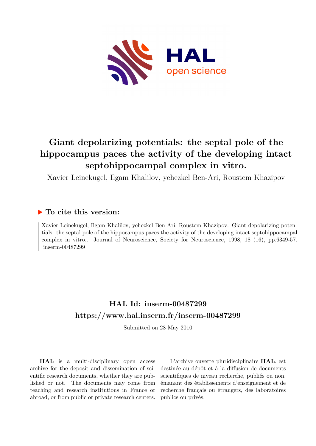

# **Giant depolarizing potentials: the septal pole of the hippocampus paces the activity of the developing intact septohippocampal complex in vitro.**

Xavier Leinekugel, Ilgam Khalilov, yehezkel Ben-Ari, Roustem Khazipov

## **To cite this version:**

Xavier Leinekugel, Ilgam Khalilov, yehezkel Ben-Ari, Roustem Khazipov. Giant depolarizing potentials: the septal pole of the hippocampus paces the activity of the developing intact septohippocampal complex in vitro.. Journal of Neuroscience, Society for Neuroscience, 1998, 18 (16), pp.6349-57. inserm-00487299

## **HAL Id: inserm-00487299 <https://www.hal.inserm.fr/inserm-00487299>**

Submitted on 28 May 2010

**HAL** is a multi-disciplinary open access archive for the deposit and dissemination of scientific research documents, whether they are published or not. The documents may come from teaching and research institutions in France or abroad, or from public or private research centers.

L'archive ouverte pluridisciplinaire **HAL**, est destinée au dépôt et à la diffusion de documents scientifiques de niveau recherche, publiés ou non, émanant des établissements d'enseignement et de recherche français ou étrangers, des laboratoires publics ou privés.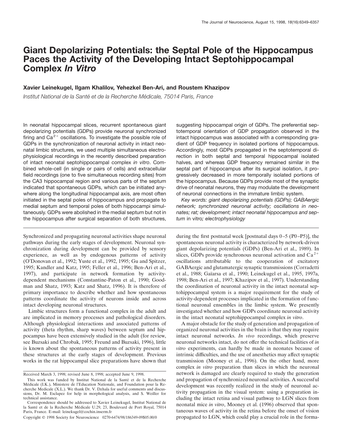## **Giant Depolarizing Potentials: the Septal Pole of the Hippocampus Paces the Activity of the Developing Intact Septohippocampal Complex** *In Vitro*

#### **Xavier Leinekugel, Ilgam Khalilov, Yehezkel Ben-Ari, and Roustem Khazipov**

*Institut National de la Sante´ et de la Recherche Me´ dicale, 75014 Paris, France*

In neonatal hippocampal slices, recurrent spontaneous giant depolarizing potentials (GDPs) provide neuronal synchronized firing and  $Ca^{2+}$  oscillations. To investigate the possible role of GDPs in the synchronization of neuronal activity in intact neonatal limbic structures, we used multiple simultaneous electrophysiological recordings in the recently described preparation of intact neonatal septohippocampal complex *in vitro*. Combined whole-cell (in single or pairs of cells) and extracellular field recordings (one to five simultaneous recording sites) from the CA3 hippocampal region and various parts of the septum indicated that spontaneous GDPs, which can be initiated anywhere along the longitudinal hippocampal axis, are most often initiated in the septal poles of hippocampus and propagate to medial septum and temporal poles of both hippocampi simultaneously. GDPs were abolished in the medial septum but not in the hippocampus after surgical separation of both structures,

Synchronized and propagating neuronal activities shape neuronal pathways during the early stages of development. Neuronal synchronization during development can be provided by sensory experience, as well as by endogenous patterns of activity (O'Donovan et al., 1992; Yuste et al., 1992, 1995; Gu and Spitzer, 1995; Kandler and Katz, 1995; Feller et al., 1996; Ben-Ari et al., 1997), and participate in network formation by activitydependent mechanisms (Constantine-Paton et al., 1990; Goodman and Shatz, 1993; Katz and Shatz, 1996). It is therefore of primary importance to describe whether and how spontaneous patterns coordinate the activity of neurons inside and across intact developing neuronal structures.

Limbic structures form a functional complex in the adult and are implicated in memory processes and pathological disorders. Although physiological interactions and associated patterns of activity (theta rhythm, sharp waves) between septum and hippocampus have been extensively studied in the adult (for review, see Buzsaki and Chrobak, 1995; Freund and Buzsaki, 1996), little is known about the spontaneous patterns of activity present in these structures at the early stages of development. Previous works in the rat hippocampal slice preparations have shown that

suggesting hippocampal origin of GDPs. The preferential septotemporal orientation of GDP propagation observed in the intact hippocampus was associated with a corresponding gradient of GDP frequency in isolated portions of hippocampus. Accordingly, most GDPs propagated in the septotemporal direction in both septal and temporal hippocampal isolated halves, and whereas GDP frequency remained similar in the septal part of hippocampus after its surgical isolation, it progressively decreased in more temporally isolated portions of the hippocampus. Because GDPs provide most of the synaptic drive of neonatal neurons, they may modulate the development of neuronal connections in the immature limbic system.

*Key words: giant depolarizing potentials (GDPs); GABAergic network; synchronized neuronal activity; oscillations in neonates; rat; development; intact neonatal hippocampus and septum* in vitro*; electrophysiology*

during the first postnatal week [postnatal days 0–5 (P0–P5)], the spontaneous neuronal activity is characterized by network-driven giant depolarizing potentials (GDPs) (Ben-Ari et al., 1989). In slices, GDPs provide synchronous neuronal activation and  $Ca^{2+}$ oscillations attributable to the cooperation of excitatory GABAergic and glutamatergic synaptic transmissions (Corradetti et al., 1988; Gaïarsa et al., 1990; Leinekugel et al., 1995, 1997a, 1998; Ben-Ari et al., 1997; Khazipov et al., 1997). Understanding the coordination of neuronal activity in the intact neonatal septohippocampal system is a major requirement for the study of activity-dependent processes implicated in the formation of functional neuronal ensembles in the limbic system. We presently investigated whether and how GDPs coordinate neuronal activity in the intact neonatal septohippocampal complex *in vitro*.

A major obstacle for the study of generation and propagation of organized neuronal activities in the brain is that they may require intact neuronal networks. *In vivo* recordings, which preserve neuronal networks intact, do not offer the technical facilities of *in vitro* experiments, can hardly be made in neonates because of intrinsic difficulties, and the use of anesthetics may affect synaptic transmission (Mooney et al., 1996). On the other hand, more complex *in vitro* preparation than slices in which the neuronal network is damaged are clearly required to study the generation and propagation of synchronized neuronal activities. A successful development was recently realized in the study of neuronal activity propagation in the visual system: using a preparation including the intact retina and visual pathway to LGN slices from neonatal mice *in vitro*, Mooney et al. (1996) observed that spontaneous waves of activity in the retina before the onset of vision propagated to LGN, which could play a crucial role in the forma-

Received March 3, 1998; revised June 8, 1998; accepted June 9, 1998.

This work was funded by Institut National de la Santé et de la Recherche Médicale (I.K.), Ministere de l'Education Nationale, and Foundation pour la Recherche Medicale (X.L.). We thank Dr. V. Dzhala for useful comments and discussions, Dr. M. Esclapez for help in morphological analysis, and S. Weiller for technical assistance.

Correspondence should be addressed to Xavier Leinekugel, Institut National de la Santé et de la Recherche Médicale U.29, 23, Boulevard de Port Royal, 75014 Paris, France. E-mail: leinekugel@cochin.inserm.fr

Copyright © 1998 Society for Neuroscience 0270-6474/98/186349-09\$05.00/0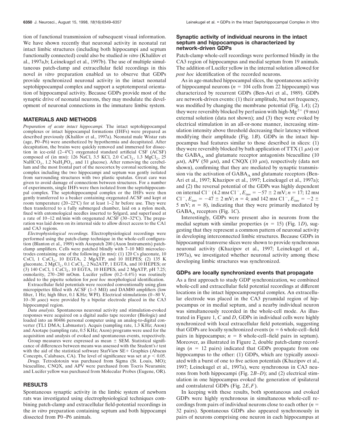tion of functional transmission of subsequent visual information. We have shown recently that neuronal activity in neonatal rat intact limbic structures (including both hippocampi and septum functionally connected) could also be studied *in vitro* (Khalilov et al., 1997a,b; Leinekugel et al., 1997b). The use of multiple simultaneous patch-clamp and extracellular field recordings in this novel *in vitro* preparation enabled us to observe that GDPs provide synchronized neuronal activity in the intact neonatal septohippocampal complex and support a septotemporal orientation of hippocampal activity. Because GDPs provide most of the synaptic drive of neonatal neurons, they may modulate the development of neuronal connections in the immature limbic system.

#### **MATERIALS AND METHODS**

*Preparation of acute intact hippocampi.* The intact septohippocampal complexes or intact hippocampal formations (IHFs) were prepared as described previously (Khalilov et al., 1997a). Neonatal male Wistar rats (age, P0–P6) were anesthetized by hypothermia and decapitated. After decapitation, the brains were quickly removed and immersed for dissection in ice-cold (2–4°C) oxygenated standard artificial CSF (ACSF) composed of (in mm): 126 NaCl, 3.5 KCl, 2.0 CaCl<sub>2</sub>, 1.3 MgCl<sub>2</sub>, 25  $NaHCO<sub>3</sub>$ , 1.2 NaH<sub>2</sub>PO<sub>4</sub>, and 11 glucose). After removing the cerebellum and the most frontal part of the neocortex by coronal sectioning, the complex including the two hippocampi and septum was gently isolated from surrounding structures with two plastic spatulas. Great care was given to avoid damage of connections between structures. For a number of experiments, single IHFs were then isolated from the septohippocampal complex. The septohippocampal complex or the IHFs were then gently transferred to a beaker containing oxygenated ACSF and kept at room temperature (20–22°C) for at least 1–2 hr before use. They were then transferred to a fully submerged chamber, laid on a nylon mesh, fixed with entomological needles inserted to Sylgard, and superfused at a rate of 10–12 ml/min with oxygenated ACSF (30–32°C). The preparation was laid down on its internal side to allow direct access to the CA1 and CA3 regions.

*Electrophysiological recordings.* Electrophysiological recordings were performed using the patch-clamp technique in the whole-cell configuration (Blanton et al., 1989) with Axopatch 200 (Axon Instruments) patchclamp amplifiers. Cells were patched blindly with  $7-10$  M $\Omega$  microelectrodes containing one of the following (in mM): (1) 120 Cs gluconate, 10 CsCl,  $1$  CaCl<sub>2</sub>,  $10$  EGTA,  $2$  MgATP, and  $10$  HEPES;  $(2)$   $135$  K gluconate,  $2 \text{ MgCl}_2$ ,  $0.1 \text{ CaCl}_2$ ,  $2 \text{ Na}2ATP$ ,  $1 \text{ EGTA}$ , and  $10 \text{ HEPES}$ ; or (3) 140 CsCl,  $\tilde{1}$  CaCl<sub>2</sub>, 10 EGTA, 10 HEPES, and 2 MgATP, pH 7.25; osmolarity, 270–280 mOsm. Lucifer yellow (0.2–0.4%) was routinely added to the pipette solution for *post hoc* morphological identification.

Extracellular field potentials were recorded conventionally using glass micropipettes filled with ACSF (1–5 M $\Omega$ ) and DAM80 amplifiers (low filter, 1 Hz; high filter, 0.1 KHz; WPI). Electrical stimulations (0–80 V,  $10-30$   $\mu$ sec) were provided by a bipolar electrode placed in the CA3 hippocampal region.

*Data analysis.* Spontaneous neuronal activity and stimulation-evoked responses were acquired on a digital audio tape recorder (Biologic) and loaded into an 80486 personal computer using an analog-to-digital converter (TL1 DMA; Labmaster). Acquis (sampling rate, 1.3 KHz; Axon) and Axotape (sampling rate, 0.5 KHz; Axon) programs were used for the acquisition and analysis of evoked and spontaneous events, respectively.

Group measures were expressed as mean  $\pm$  SEM. Statistical significance of differences between means was assessed with the Student's *t* test with the aid of the statistical software StatView SE+ Graphics (Abacus Concepts, Calabases, CA). The level of significance was set at  $p < 0.05$ .

*Drugs.* Tetrodotoxin was purchased from Sigma (St. Louis, MO); bicuculline, CNQX, and APV were purchased from Tocris Neuramin; and Lucifer yellow was purchased from Molecular Probes (Eugene, OR).

#### **RESULTS**

Spontaneous synaptic activity in the limbic system of newborn rats was investigated using electrophysiological techniques combining patch-clamp and extracellular field-potential recordings in the *in vitro* preparation containing septum and both hippocampi dissected from P0–P6 animals.

#### **Synaptic activity of individual neurons in the intact septum and hippocampus is characterized by network-driven GDPs**

Patch-clamp whole-cell recordings were performed blindly in the CA3 region of hippocampus and medial septum from 19 animals. The addition of Lucifer yellow in the internal solution allowed for *post hoc* identification of the recorded neurons.

As in age-matched hippocampal slices, the spontaneous activity of hippocampal neurons  $(n = 104$  cells from 22 hippocampi) was characterized by recurrent GDPs (Ben-Ari et al., 1989). GDPs are network-driven events: (1) their amplitude, but not frequency, was modified by changing the membrane potential (Fig. 1*A*); (2) they were reversibly blocked by perfusion with high-Mg<sup>2+</sup> (9 mm) external solution (data not shown); and (3) they were evoked by electrical stimulation in an all-or-none manner, increasing stimulation intensity above threshold decreasing their latency without modifying their amplitude (Fig. 1*B*). GDPs in the intact hippocampus had features similar to those described in slices: (1) they were reversibly blocked by bath application of TTX (1  $\mu$ M) or the  $GABA_A$  and glutamate receptor antagonists bicuculline (10)  $\mu$ M), APV (50  $\mu$ M), and CNQX (10  $\mu$ M), respectively (data not shown), confirming that they are mediated by synaptic transmission via the activation of  $GABA_{\Delta}$  and glutamate receptors (Ben-Ari et al., 1997; Khazipov et al., 1997; Leinekugel et al., 1997a); and (2) the reversal potential of the GDPs was highly dependent on internal Cl<sup>-</sup> (4.2 mm Cl<sup>-</sup>,  $E_{\text{inv}} = -57 \pm 2$  mV;  $n = 17$ ; 12 mm Cl<sup>-</sup>,  $E_{\text{inv}} = -47 \pm 2$  mV;  $n = 4$ ; and 142 mm Cl<sup>-</sup>,  $E_{\text{inv}} = -2 \pm 1$ 5 mV;  $n = 8$ ), indicating that they were primarily mediated by GABA<sub>A</sub> receptors (Fig. 1*C*).

Interestingly, GDPs were present also in neurons from the medial septum with similar properties  $(n = 15)$  (Fig. 1*D*), suggesting that they represent a common pattern of neuronal activity in developing interconnected limbic structures. Because GDPs in hippocampal transverse slices were shown to provide synchronous neuronal activity (Khazipov et al., 1997; Leinekugel et al., 1997a), we investigated whether neuronal activity among these developing limbic structures was synchronized.

#### **GDPs are locally synchronized events that propagate**

As a first approach to study GDP synchronization, we combined whole-cell and extracellular field potential recordings at different locations in the intact hippocamposeptal complex. An extracellular electrode was placed in the CA3 pyramidal region of hippocampus or in medial septum, and a nearby individual neuron was simultaneously recorded in the whole-cell mode. As illustrated in Figure 1, *C* and *D*, GDPs in individual cells were highly synchronized with local extracellular field potentials, suggesting that GDPs are locally synchronized events  $(n = 6$  whole-cell–field pairs in hippocampus;  $n = 8$  whole-cell–field pairs in septum). Moreover, as illustrated in Figure 2, double patch-clamp recordings  $(n = 12 \text{ pairs})$  indicated that GDPs propagate from one hippocampus to the other: (1) GDPs, which are typically associ-ated with a burst of one to five action potentials (Khazipov et al., 1997; Leinekugel et al., 1997a), were synchronous in CA3 neurons from both hippocampi (Fig. 2*B–D*); and (2) electrical stimulation in one hippocampus evoked the generation of ipsilateral and contralateral GDPs (Fig. 2*E*,*F*).

In keeping with these results, both spontaneous and evoked GDPs were highly synchronous in simultaneous whole-cell recordings from pairs of individual neurons close to each other  $(n =$ 32 pairs). Spontaneous GDPs also appeared synchronously in pairs of neurons comprising one neuron in each hippocampus at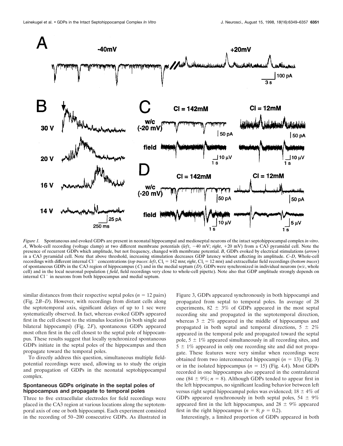

*Figure 1.* Spontaneous and evoked GDPs are present in neonatal hippocampal and medioseptal neurons of the intact septohippocampal complex *in vitro*. *A*, Whole-cell recording (voltage clamp) at two different membrane potentials (*left*, -40 mV; *right*, +20 mV) from a CA3 pyramidal cell. Note the presence of recurrent GDPs which amplitude, but not frequency, changed with membrane potential. *B*, GDPs evoked by electrical stimulations (*arrow*) in a CA3 pyramidal cell. Note that above threshold, increasing stimulation decreases GDP latency without affecting its amplitude. *C–D*, Whole-cell recordings with different internal Cl<sup>-</sup> concentrations (*top traces*: *left*, Cl<sub>i</sub> = 142 mM; *right*, Cl<sub>i</sub> = 12 mM) and extracellular field recordings (*bottom traces*) of spontaneous GDPs in the CA3 region of hippocampus (*C*) and in the medial septum (*D*). GDPs were synchronized in individual neurons (*w/c*, whole cell) and in the local neuronal population ( *field*, field recordings very close to whole-cell pipette). Note also that GDP amplitude strongly depends on internal  $Cl^-$  in neurons from both hippocampus and medial septum.

similar distances from their respective septal poles ( $n = 12$  pairs) (Fig. 2*B–D*). However, with recordings from distant cells along the septotemporal axis, significant delays of up to 1 sec were systematically observed. In fact, whereas evoked GDPs appeared first in the cell closest to the stimulus location (in both single and bilateral hippocampi) (Fig. 2*F*), spontaneous GDPs appeared most often first in the cell closest to the septal pole of hippocampus. These results suggest that locally synchronized spontaneous GDPs initiate in the septal poles of the hippocampus and then propagate toward the temporal poles.

To directly address this question, simultaneous multiple fieldpotential recordings were used, allowing us to study the origin and propagation of GDPs in the neonatal septohippocampal complex.

#### **Spontaneous GDPs originate in the septal poles of hippocampus and propagate to temporal poles**

Three to five extracellular electrodes for field recordings were placed in the CA3 region at various locations along the septotemporal axis of one or both hippocampi. Each experiment consisted in the recording of 50–200 consecutive GDPs. As illustrated in

Figure 3, GDPs appeared synchronously in both hippocampi and propagated from septal to temporal poles. In average of 28 experiments,  $82 \pm 3\%$  of GDPs appeared in the most septal recording site and propagated in the septotemporal direction, whereas  $3 \pm 2\%$  appeared in the middle of hippocampus and propagated in both septal and temporal directions,  $5 \pm 2\%$ appeared in the temporal pole and propagated toward the septal pole,  $5 \pm 1\%$  appeared simultaneously in all recording sites, and  $5 \pm 1\%$  appeared in only one recording site and did not propagate. These features were very similar when recordings were obtained from two interconnected hippocampi  $(n = 13)$  (Fig. 3) or in the isolated hippocampus  $(n = 15)$  (Fig. 4*A*). Most GDPs recorded in one hippocampus also appeared in the contralateral one (84  $\pm$  9%; *n* = 8). Although GDPs tended to appear first in the left hippocampus, no significant leading behavior between left versus right septal hippocampal poles was evidenced;  $18 \pm 4\%$  of GDPs appeared synchronously in both septal poles,  $54 \pm 9\%$ appeared first in the left hippocampus, and  $28 \pm 9\%$  appeared first in the right hippocampus ( $n = 8$ ;  $p = 0.2$ ).

Interestingly, a limited proportion of GDPs appeared in both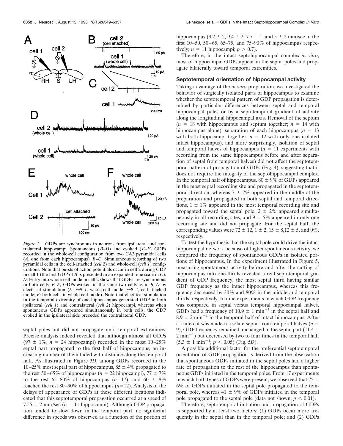![](_page_4_Figure_1.jpeg)

*Figure 2.* GDPs are synchronous in neurons from ipsilateral and contralateral hippocampi. Spontaneous (*B–D*) and evoked (*E–F*) GDPs recorded in the whole-cell configuration from two CA3 pyramidal cells (*A*, one from each hippocampus). *B–C*, Simultaneous recording of two pyramidal cells in the cell-attached (*cell 2*) and whole-cell (*cell 1*) configurations. Note that bursts of action potentials occur in cell 2 during GDP in cell 1 (the first GDP of *B* is presented in an expanded time scale in *C*). *D*, Entry into whole-cell mode in cell 2 shows that GDPs are synchronous in both cells. *E–F*, GDPs evoked in the same two cells as in *B–D* by electrical stimulation (*E*: *cell 1*, whole-cell mode; *cell 2*, cell-attached mode; *F*: both cells in whole-cell mode). Note that electrical stimulation in the temporal extremity of one hippocampus generated GDP in both ipsilateral (*cell 1*) and contralateral (*cell 2*) hippocampi, whereas when spontaneous GDPs appeared simultaneously in both cells, the GDP evoked in the ipsilateral side preceded the contralateral GDP.

septal poles but did not propagate until temporal extremities. Precise analysis indeed revealed that although almost all GDPs (97  $\pm$  1%; *n* = 24 hippocampi) recorded in the most 10–25% septal part propagated to the first half of hippocampus, an increasing number of them faded with distance along the temporal half. As illustrated in Figure 3*D*, among GDPs recorded in the 10–25% most septal part of hippocampus,  $85 \pm 4\%$  propagated to the rest 50–65% of hippocampus ( $n = 22$  hippocampi), 77  $\pm$  7% to the rest 65–80% of hippocampus  $(n=17)$ , and 60  $\pm$  8% reached the rest 80–90% of hippocampus ( $n=12$ ). Analysis of the delays of appearance of GDPs at these different locations indicated that this septotemporal propagation occurred at a speed of 7.55  $\pm$  2 mm/sec (*n* = 11 hippocampi). Although GDP propagation tended to slow down in the temporal part, no significant difference in speeds was observed as a function of the portion of hippocampus (9.2  $\pm$  2, 9.4  $\pm$  2, 7.7  $\pm$  1, and 5  $\pm$  2 mm/sec in the first 10–50, 50–65, 65–75, and 75–90% of hippocampus respectively;  $n = 11$  hippocampi;  $p > 0.7$ ).

Therefore, in the intact septohippocampal complex *in vitro*, most of hippocampal GDPs appear in the septal poles and propagate bilaterally toward temporal extremities.

#### **Septotemporal orientation of hippocampal activity**

Taking advantage of the *in vitro* preparation, we investigated the behavior of surgically isolated parts of hippocampus to examine whether the septotemporal pattern of GDP propagation is determined by particular differences between septal and temporal hippocampal poles or by a septotemporal gradient of activity along the longitudinal hippocampal axis. Removal of the septum  $(n = 18$  with hippocampus and septum together;  $n = 14$  with hippocampus alone), separation of each hippocampus ( $n = 13$ ) with both hippocampi together;  $n = 12$  with only one isolated intact hippocampus), and more surprisingly, isolation of septal and temporal halves of hippocampus  $(n = 11)$  experiments with recording from the same hippocampus before and after separation of septal from temporal halves) did not affect the septotemporal pattern of propagation of GDPs (Fig. 4), suggesting that it does not require the integrity of the septohippocampal complex. In the temporal half of hippocampus,  $80 \pm 9\%$  of GDPs appeared in the most septal recording site and propagated in the septotemporal direction, whereas  $7 \pm 7\%$  appeared in the middle of the preparation and propagated in both septal and temporal directions,  $1 \pm 1\%$  appeared in the most temporal recording site and propagated toward the septal pole,  $2 \pm 2\%$  appeared simultaneously in all recording sites, and  $9 \pm 5\%$  appeared in only one recording site and did not propagate. For the septal half, the corresponding values were  $72 \pm 12$ ,  $1 \pm 2$ ,  $15 \pm 8$ ,  $12 \pm 5$ , and  $0\%$ , respectively.

To test the hypothesis that the septal pole could drive the intact hippocampal network because of higher spontaneous activity, we compared the frequency of spontaneous GDPs in isolated portions of hippocampus. In the experiment illustrated in Figure 5, measuring spontaneous activity before and after the cutting of hippocampus into one-thirds revealed a real septotemporal gradient of GDP frequency, the most septal third having similar GDP frequency as the intact hippocampus, whereas this frequency decreased by 30% and 80% in the middle and temporal thirds, respectively. In nine experiments in which GDP frequency was compared in septal versus temporal hippocampal halves, GDPs had a frequency of 10.9  $\pm$  1 min<sup>-1</sup> in the septal half and  $8.9 \pm 2$  min<sup>-1</sup> in the temporal half of intact hippocampus. After a knife cut was made to isolate septal from temporal halves  $(n =$ 9), GDP frequency remained unchanged in the septal part (11.4  $\pm$  $2 \text{ min}^{-1}$ ) but decreased by two to four times in the temporal half  $(5.3 \pm 1 \text{ min}^{-1}; p < 0.05)$  (Fig. 5*D*).

A possible additional factor for the preferential septotemporal orientation of GDP propagation is derived from the observation that spontaneous GDPs initiated in the septal poles had a higher rate of propagation to the rest of the hippocampus than spontaneous GDPs initiated in the temporal poles. From 17 experiments in which both types of GDPs were present, we observed that  $75 \pm$ 6% of GDPs initiated in the septal pole propagated to the temporal pole, whereas  $41 \pm 9\%$  of GDPs initiated in the temporal pole propagated to the septal pole (data not shown;  $p < 0.01$ ).

Therefore, septotemporal initiation and propagation of GDPs is supported by at least two factors: (1) GDPs occur more frequently in the septal than in the temporal pole; and (2) GDPs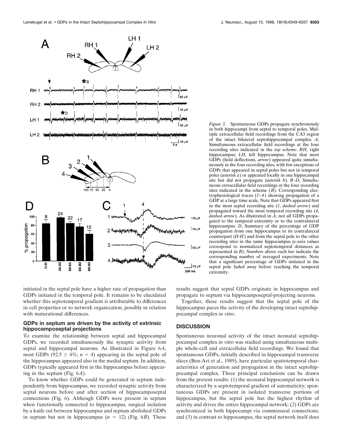![](_page_5_Figure_1.jpeg)

*Figure 3.* Spontaneous GDPs propagate synchronously in both hippocampi from septal to temporal poles. Multiple extracellular field recordings from the CA3 region of the intact bilateral septohippocampal complex. *A*, Simultaneous extracellular field recordings at the four recording sites indicated in the *top scheme*. *RH*, right hippocampus; *LH*, left hippocampus. Note that most GDPs (field deflections, *arrow*) appeared quite simultaneously in the four recording sites, with few exceptions of GDPs that appeared in septal poles but not in temporal poles (*asterisk a*) or appeared locally in one hippocampal site but did not propagate (*asterisk b*). *B–D*, Simultaneous extracellular field recordings at the four recording sites indicated in the scheme  $(B)$ . Corresponding electrophysiological traces (*1–4*) showing propagation of a GDP at a large time scale. Note that GDPs appeared first in the most septal recording site (*1*, *dashed arrow*) and propagated toward the most temporal recording site (*4*, *dashed arrow*). As illustrated in *A*, not all GDPs propagated to the temporal extremity or to the contralateral hippocampus. *D*, Summary of the percentage of GDP propagation from one hippocampus to its contralateral counterpart (*H-H*) and from the septal pole to the other recording sites in the same hippocampus (*x*-axis values correspond to normalized septotemporal distances as represented in *B*). *Numbers* above each *bar* indicate the corresponding number of averaged experiments. Note that a significant percentage of GDPs initiated in the septal pole faded away before reaching the temporal extremity.

initiated in the septal pole have a higher rate of propagation than GDPs initiated in the temporal pole. It remains to be elucidated whether this septotemporal gradient is attributable to differences in cell properties or to network organization, possibly in relation with maturational differences.

#### **GDPs in septum are driven by the activity of extrinsic hippocamposeptal projections**

To examine the relationship between septal and hippocampal GDPs, we recorded simultaneously the synaptic activity from septal and hippocampal neurons. As illustrated in Figure 6*A*, most GDPs (92.5  $\pm$  4%; *n* = 4) appearing in the septal pole of the hippocampus appeared also in the medial septum. In addition, GDPs typically appeared first in the hippocampus before appearing in the septum (Fig. 6*A*).

To know whether GDPs could be generated in septum independently from hippocampus, we recorded synaptic activity from septal neurons before and after section of hippocamposeptal connections (Fig. 6). Although GDPs were present in septum when functionally connected to hippocampus, surgical isolation by a knife cut between hippocampus and septum abolished GDPs in septum but not in hippocampus  $(n = 12)$  (Fig. 6*B*). These results suggest that septal GDPs originate in hippocampus and propagate to septum via hippocamposeptal-projecting neurons.

Together, these results suggest that the septal pole of the hippocampus paces the activity of the developing intact septohippocampal complex *in vitro*.

#### **DISCUSSION**

Spontaneous neuronal activity of the intact neonatal septohippocampal complex *in vitro* was studied using simultaneous multiple whole-cell and extracellular field recordings. We found that spontaneous GDPs, initially described in hippocampal transverse slices (Ben-Ari et al., 1989), have particular spatiotemporal characteristics of generation and propagation in the intact septohippocampal complex. Three principal conclusions can be drawn from the present results: (1) the neonatal hippocampal network is characterized by a septotemporal gradient of automaticity; spontaneous GDPs are present in isolated transverse portions of hippocampus, but the septal pole has the highest rhythm of activity and drives the entire hippocampal network; (2) GDPs are synchronized in both hippocampi via commissural connections; and (3) in contrast to hippocampus, the septal network itself does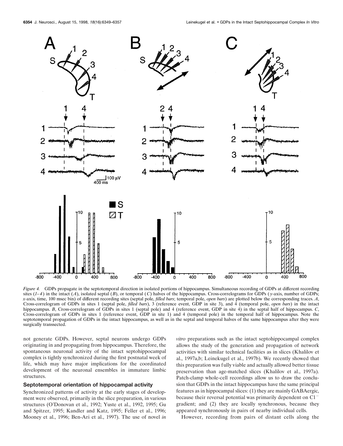![](_page_6_Figure_2.jpeg)

*Figure 4.* GDPs propagate in the septotemporal direction in isolated portions of hippocampus. Simultaneous recording of GDPs at different recording sites  $(1-4)$  in the intact  $(A)$ , isolated septal  $(B)$ , or temporal  $(C)$  halves of the hippocampus. Cross-correlograms for GDPs  $(y\text{-axis},$  number of GDPs; *x*-axis, time, 100 msec bin) of different recording sites (septal pole, *filled bars*; temporal pole, *open bars*) are plotted below the corresponding traces. *A*, Cross-correlogram of GDPs in sites 1 (septal pole, *filled bars*), 3 (reference event, GDP in site 3), and 4 (temporal pole, *open bars*) in the intact hippocampus. *B*, Cross-correlogram of GDPs in sites 1 (septal pole) and 4 (reference event, GDP in site 4) in the septal half of hippocampus. *C*, Cross-correlogram of GDPs in sites 1 (reference event, GDP in site 1) and 4 (temporal pole) in the temporal half of hippocampus. Note the septotemporal propagation of GDPs in the intact hippocampus, as well as in the septal and temporal halves of the same hippocampus after they were surgically transsected.

not generate GDPs. However, septal neurons undergo GDPs originating in and propagating from hippocampus. Therefore, the spontaneous neuronal activity of the intact septohippocampal complex is tightly synchronized during the first postnatal week of life, which may have major implications for the coordinated development of the neuronal ensembles in immature limbic structures.

#### **Septotemporal orientation of hippocampal activity**

Synchronized patterns of activity at the early stages of development were observed, primarily in the slice preparation, in various structures (O'Donovan et al., 1992; Yuste et al., 1992, 1995; Gu and Spitzer, 1995; Kandler and Katz, 1995; Feller et al., 1996; Mooney et al., 1996; Ben-Ari et al., 1997). The use of novel *in*

*vitro* preparations such as the intact septohippocampal complex allows the study of the generation and propagation of network activities with similar technical facilities as in slices (Khalilov et al., 1997a,b; Leinekugel et al., 1997b). We recently showed that this preparation was fully viable and actually allowed better tissue preservation than age-matched slices (Khalilov et al., 1997a). Patch-clamp whole-cell recordings allow us to draw the conclusion that GDPs in the intact hippocampus have the same principal features as in hippocampal slices: (1) they are mainly GABAergic, because their reversal potential was primarily dependent on Cl<sup>-</sup> gradient; and (2) they are locally synchronous, because they appeared synchronously in pairs of nearby individual cells.

However, recording from pairs of distant cells along the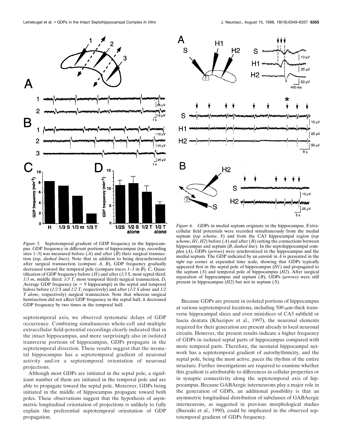![](_page_7_Figure_1.jpeg)

*Figure 5.* Septotemporal gradient of GDP frequency in the hippocampus. GDP frequency in different portions of hippocampus (*top*, recording sites 1–3) was measured before  $(A)$  and after  $(B)$  their surgical transsection (*top*, *dashed lines*). Note that in addition to being desynchronized after surgical transsection (compare *A*, *B*), GDP frequency gradually decreased toward the temporal pole (compare *traces 1–3* in *B*). *C*, Quantification of GDP frequency before (*H*) and after (*1/3 S*, most septal third; *1/3 m*, middle third: *1/3 T*, most temporal third) surgical transsection. *D*, Average GDP frequency  $(n = 9 \text{ hippocampi})$  in the septal and temporal halves before (*1/2 S* and *1/2 T*, respectively) and after (*1/2 S alone* and *1/2 T alone*, respectively) surgical transsection. Note that whereas surgical hemisection did not affect GDP frequency in the septal half, it decreased GDP frequency by two times in the temporal half.

septotemporal axis, we observed systematic delays of GDP occurrence. Combining simultaneous whole-cell and multiple extracellular field-potential recordings clearly indicated that in the intact hippocampus, and more surprisingly also in isolated transverse portions of hippocampus, GDPs propagate in the septotemporal direction. These results suggest that the neonatal hippocampus has a septotemporal gradient of neuronal activity and/or a septotemporal orientation of neuronal projections.

Although most GDPs are initiated in the septal pole, a significant number of them are initiated in the temporal pole and are able to propagate toward the septal pole. Moreover, GDPs being initiated in the middle of hippocampus propagate toward both poles. These observations suggest that the hypothesis of asymmetric longitudinal orientation of projections is unlikely to fully explain the preferential septotemporal orientation of GDP propagation.

![](_page_7_Figure_6.jpeg)

*Figure 6.* GDPs in medial septum originate in the hippocampus. Extracellular field potentials were recorded simultaneously from the medial septum (*top scheme*, *S*) and from the CA3 hippocampal region (*top scheme*,  $H1$ ,  $H2$ ) before  $(A)$  and after  $(B)$  cutting the connections between hippocampus and septum (*B*, *dashed line*). In the septohippocampal complex (*A*), GDPs (*arrows*) were synchronized in the hippocampus and the medial septum. The GDP indicated by an *asterisk* in *A* is presented in the *right top* corner at expended time scale, showing that GDPs typically appeared first in the septal pole of hippocampus (*H1*) and propagated to the septum (*S*) and temporal pole of hippocampus (*H2*). After surgical separation of hippocampus and septum (*B*), GDPs (*arrows*) were still present in hippocampus (*H2*) but not in septum (*S*).

Because GDPs are present in isolated portions of hippocampus at various septotemporal locations, including  $500$ - $\mu$ m-thick transverse hippocampal slices and even minislices of CA3 subfield or fascia dentata (Khazipov et al., 1997), the neuronal elements required for their generation are present already in local neuronal circuits. However, the present results indicate a higher frequency of GDPs in isolated septal parts of hippocampus compared with more temporal parts. Therefore, the neonatal hippocampal network has a septotemporal gradient of autorhythmicity, and the septal pole, being the most active, paces the rhythm of the entire structure. Further investigations are required to examine whether this gradient is attributable to differences in cellular properties or in synaptic connectivity along the septotemporal axis of hippocampus. Because GABAergic interneurons play a major role in the generation of GDPs, an additional possibility is that an asymmetric longitudinal distribution of subclasses of GABAergic interneurons, as suggested in previous morphological studies (Buzsaki et al., 1990), could be implicated in the observed septotemporal gradient of GDPs frequency.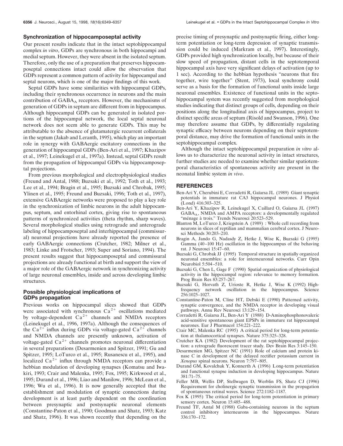#### **Synchronization of hippocamposeptal activity**

Our present results indicate that in the intact septohippocampal complex *in vitro*, GDPs are synchronous in both hippocampi and medial septum. However, they were absent in the isolated septum. Therefore, only the use of a preparation that preserves hippocamposeptal connections intact could allow the observation that GDPs represent a common pattern of activity for hippocampal and septal neurons, which is one of the major findings of this work.

Septal GDPs have some similarities with hippocampal GDPs, including their synchronous occurrence in neurons and the main contribution of  $GABA_A$  receptors. However, the mechanisms of generation of GDPs in septum are different from in hippocampus. Although hippocampal GDPs can be generated in isolated portions of the hippocampal network, the local septal neuronal network does not seem able to generate GDPs. This may be attributable to the absence of glutamatergic recurrent collaterals in the septum (Jakab and Leranth, 1995), which play an important role in synergy with GABAergic excitatory connections in the generation of hippocampal GDPs (Ben-Ari et al., 1997; Khazipov et al., 1997; Leinekugel et al., 1997a). Instead, septal GDPs result from the propagation of hippocampal GDPs via hippocamposeptal projections.

From previous morphological and electrophysiological studies (Freund and Antal, 1988; Buzsaki et al., 1992; Toth et al., 1993; Lee et al., 1994; Bragin et al., 1995; Buzsaki and Chrobak, 1995; Ylinen et al., 1995; Freund and Buzsaki, 1996; Toth et al., 1997), extensive GABAergic networks were proposed to play a key role in the synchronization of limbic neurons in the adult hippocampus, septum, and entorhinal cortex, giving rise to spontaneous patterns of synchronized activities (theta rhythm, sharp waves). Several morphological studies using retrograde and anterograde labeling of hippocamposeptal and interhippocampal (commissural) neuronal projections have already reported the presence of early GABAergic connections (Crutcher, 1982; Milner et al., 1983; Linke and Frotscher, 1993; Super and Soriano, 1994). The present results suggest that hippocamposeptal and commissural projections are already functional at birth and support the view of a major role of the GABAergic network in synchronizing activity of large neuronal ensembles, inside and across developing limbic structures.

#### **Possible physiological implications of GDPs propagation**

Previous works on hippocampal slices showed that GDPs were associated with synchronous  $Ca^{2+}$  oscillations mediated by voltage-dependent  $Ca^{2+}$  channels and NMDA receptors (Leinekugel et al., 1996, 1997a). Although the consequences of the Ca<sup>2+</sup> influx during GDPs via voltage-gated Ca<sup>2+</sup> channels and NMDA channels are presently unknown, activation of voltage-gated  $Ca^{2+}$  channels promotes neuronal differentiation in several preparations (Desarmenien and Spitzer, 1991; Gu and Spitzer, 1995; LoTurco et al., 1995; Rusanescu et al., 1995), and localized  $Ca^{2+}$  influx through NMDA receptors can provide a hebbian modulation of developing synapses (Komatsu and Iwakiri, 1993; Crair and Malenka, 1995; Fox, 1995; Kirkwood et al., 1995; Durand et al., 1996; Liao and Manilow, 1996; McLean et al., 1996; Wu et al., 1996). It is now generally accepted that the establishment and modulation of synaptic connections during development is at least partly dependent on the coordination between presynaptic and postsynaptic neuronal elements (Constantine-Paton et al., 1990; Goodman and Shatz, 1993; Katz and Shatz, 1996). It was shown recently that depending on the

precise timing of presynaptic and postsynaptic firing, either longterm potentiation or long-term depression of synaptic transmission could be induced (Markram et al., 1997). Interestingly, GDPs provided high synchronization locally, but because of their slow speed of propagation, distant cells in the septotemporal hippocampal axis have very significant delays of activation (up to 1 sec). According to the hebbian hypothesis "neurons that fire together, wire together" (Stent, 1973), local synchrony could serve as a basis for the formation of functional units inside large neuronal ensembles. Existence of functional units in the septohippocampal system was recently suggested from morphological studies indicating that distinct groups of cells, depending on their positions along the longitudinal axis of hippocampus, project to distinct specific areas of septum (Risold and Swanson, 1996). One may therefore assume that GDPs, by differentially regulating synaptic efficacy between neurons depending on their septotemporal distance, may drive the formation of functional units in the septohippocampal complex.

Although the intact septohippocampal preparation *in vitro* allows us to characterize the neuronal activity in intact structures, further studies are needed to examine whether similar spatiotemporal characteristics of spontaneous activity are present in the neonatal limbic system *in vivo*.

#### **REFERENCES**

- Ben-Ari Y, Cherubini E, Corradetti R, Gaïarsa JL (1989) Giant synaptic potentials in immature rat CA3 hippocampal neurones. J Physiol (Lond) 416:303–325.
- Ben-Ari Y, Khazipov R, Leinekugel X, Caillard O, Gaïarsa JL (1997) GABA<sub>A</sub>, NMDA and AMPA receptors: a developmentally regulated "ménage à trois." Trends Neurosci 20:523–529.
- Blanton M, LoTurco J, Kriegstein A (1989) : Whole cell recording from neurons in slices of reptilian and mammalian cerebral cortex. J Neurosci Methods 30:203–210.
- Bragin A, Jando G, Nadasdy Z, Hetke J, Wise K, Buzsaki G (1995) Gamma (40–100 Hz) oscillation in the hippocampus of the behaving rat. J Neurosci 15:47–60.
- Buzsaki G, Chrobak JJ (1995) Temporal structure in spatially organized neuronal ensembles: a role for interneuronal networks. Curr Opin Neurobiol 5:504–510.
- Buzsaki G, Chen L, Gage F (1990) Spatial organization of physiological activity in the hippocampal region: relevance to memory formation. Prog Brain Res 83:257–267.
- Buzsaki G, Horvath Z, Urioste R, Hetke J, Wise K (1992) Highfrequency network oscillation in the hippocampus. Science 256:1025–1027.
- Constantine-Paton M, Cline HT, Debski E (1990) Patterned activity, synaptic convergence, and the NMDA receptor in developing visual pathways. Annu Rev Neurosci 13:129–154.
- Corradetti R, Gaïarsa JL, Ben-Ari Y (1988) D-Aminophosphonovaleric acid-sensitive spontaneous giant EPSPs in immature rat hippocampal neurones. Eur J Pharmacol 154:221–222.
- Crair MC, Malenka RC (1995) A critical period for long-term potentiation at thalamocortical synapses. Nature 375:325–328.
- Crutcher KA (1982) Development of the rat septohippocampal projection: a retrograde fluorescent tracer study. Dev Brain Res 3:145–150.
- Desarmenien MG, Spitzer NC (1991) Role of calcium and protein kinase C in development of the delayed rectifier potassium current in *Xenopus* spinal neurons. Neuron 7:797–805.
- Durand GM, Kovalchuk Y, Konnerth A (1996) Long-term potentiation and functional synapse induction in developing hippocampus. Nature 381:71–75.
- Feller MB, Wellis DP, Stellwagen D, Werblin FS, Shatz CJ (1996) Requirement for cholinergic synaptic transmission in the propagation of spontaneous retinal waves. Science 272:1182–1187.
- Fox K (1995) The critical period for long-term potentiation in primary sensory cortex. Neuron 15:485–488.
- Freund TF, Antal M (1988) Gaba-containing neurons in the septum control inhibitory interneurons in the hippocampus. Nature 336:170–172.